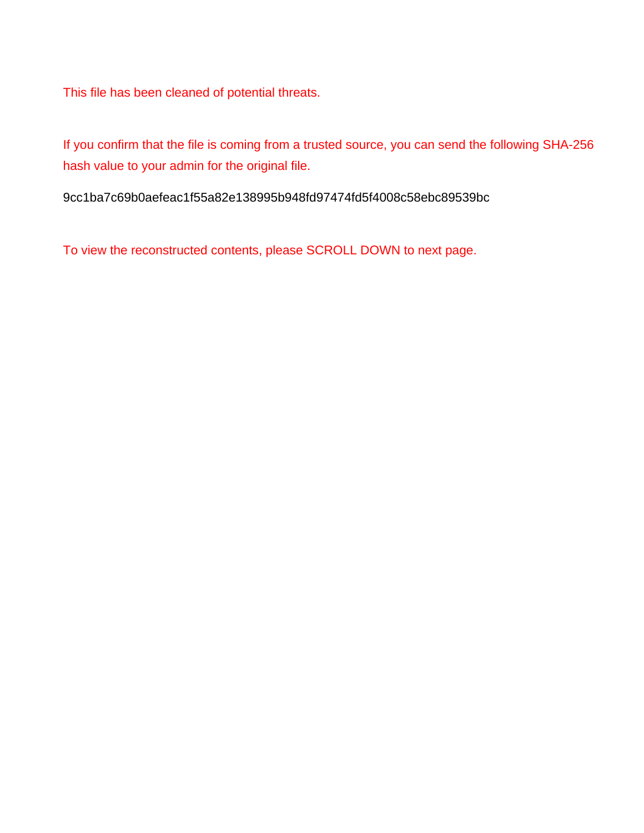This file has been cleaned of potential threats.

If you confirm that the file is coming from a trusted source, you can send the following SHA-256 hash value to your admin for the original file.

9cc1ba7c69b0aefeac1f55a82e138995b948fd97474fd5f4008c58ebc89539bc

To view the reconstructed contents, please SCROLL DOWN to next page.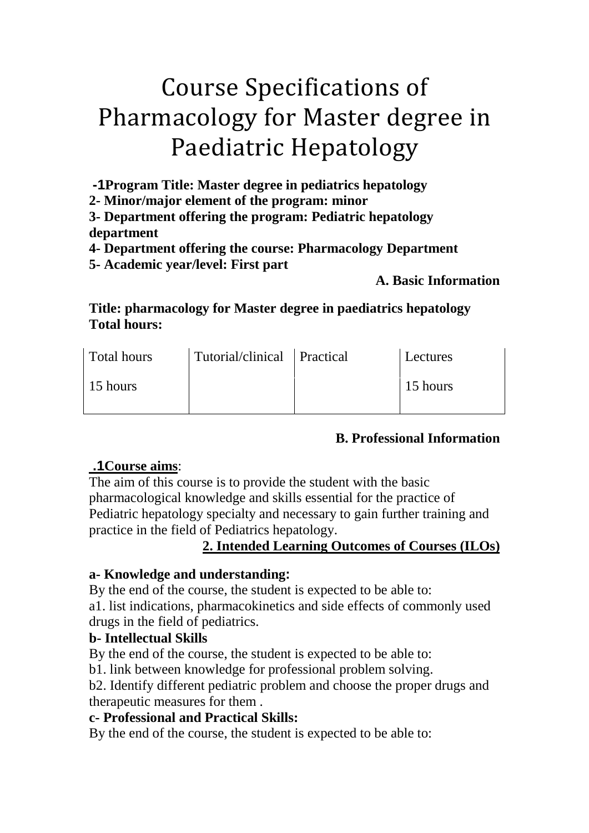# Course Specifications of Pharmacology for Master degree in Paediatric Hepatology

**-1Program Title: Master degree in pediatrics hepatology**

**2- Minor/major element of the program: minor**

**3- Department offering the program: Pediatric hepatology department**

**4- Department offering the course: Pharmacology Department**

**5- Academic year/level: First part**

## **A. Basic Information**

**Title: pharmacology for Master degree in paediatrics hepatology Total hours:**

| <b>Total hours</b> | Tutorial/clinical Practical | Lectures |
|--------------------|-----------------------------|----------|
| 15 hours           |                             | 15 hours |

# **B. Professional Information**

# *<sup>U</sup>* **.1Course aims***U*:

The aim of this course is to provide the student with the basic pharmacological knowledge and skills essential for the practice of Pediatric hepatology specialty and necessary to gain further training and practice in the field of Pediatrics hepatology.

# 2. Intended Learning Outcomes of Courses (ILOs)

# **a- Knowledge and understanding:**

By the end of the course, the student is expected to be able to:

a1. list indications, pharmacokinetics and side effects of commonly used drugs in the field of pediatrics.

# **b- Intellectual Skills**

By the end of the course, the student is expected to be able to:

b1. link between knowledge for professional problem solving.

b2. Identify different pediatric problem and choose the proper drugs and therapeutic measures for them .

# **c- Professional and Practical Skills:**

By the end of the course, the student is expected to be able to: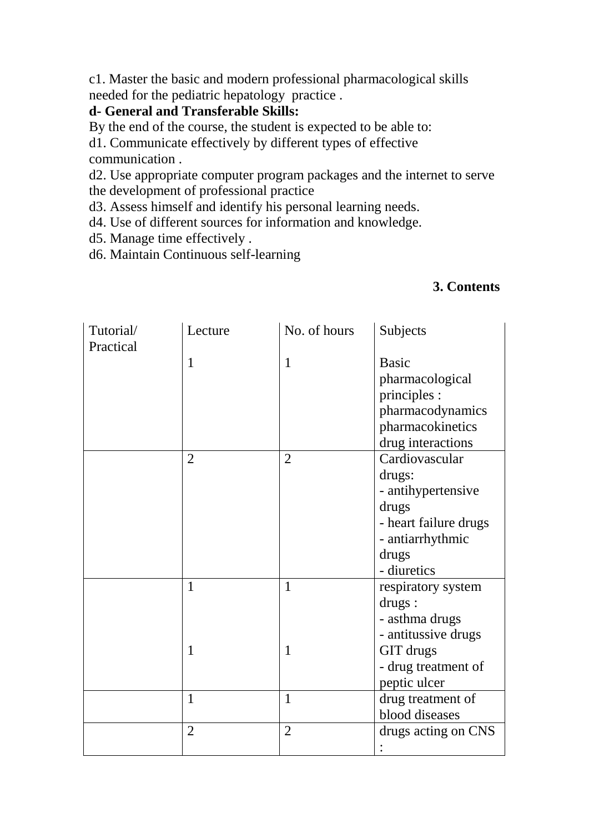c1. Master the basic and modern professional pharmacological skills needed for the pediatric hepatology practice .

#### **d- General and Transferable Skills:**

By the end of the course, the student is expected to be able to:

d1. Communicate effectively by different types of effective communication .

d2. Use appropriate computer program packages and the internet to serve the development of professional practice

d3. Assess himself and identify his personal learning needs.

d4. Use of different sources for information and knowledge.

d5. Manage time effectively .

d6. Maintain Continuous self-learning

#### **3. Contents**

| Tutorial/ | Lecture        | No. of hours   | Subjects              |
|-----------|----------------|----------------|-----------------------|
| Practical |                |                |                       |
|           | $\mathbf{1}$   | $\mathbf{1}$   | <b>Basic</b>          |
|           |                |                | pharmacological       |
|           |                |                | principles :          |
|           |                |                | pharmacodynamics      |
|           |                |                | pharmacokinetics      |
|           |                |                | drug interactions     |
|           | $\overline{2}$ | $\overline{2}$ | Cardiovascular        |
|           |                |                | drugs:                |
|           |                |                | - antihypertensive    |
|           |                |                | drugs                 |
|           |                |                | - heart failure drugs |
|           |                |                | - antiarrhythmic      |
|           |                |                | drugs                 |
|           |                |                | - diuretics           |
|           | $\mathbf{1}$   | $\mathbf{1}$   | respiratory system    |
|           |                |                | drugs:                |
|           |                |                | - asthma drugs        |
|           |                |                | - antitussive drugs   |
|           | $\mathbf{1}$   | $\mathbf{1}$   | GIT drugs             |
|           |                |                | - drug treatment of   |
|           |                |                | peptic ulcer          |
|           | $\mathbf{1}$   | $\mathbf{1}$   | drug treatment of     |
|           |                |                | blood diseases        |
|           | $\overline{2}$ | $\overline{2}$ | drugs acting on CNS   |
|           |                |                |                       |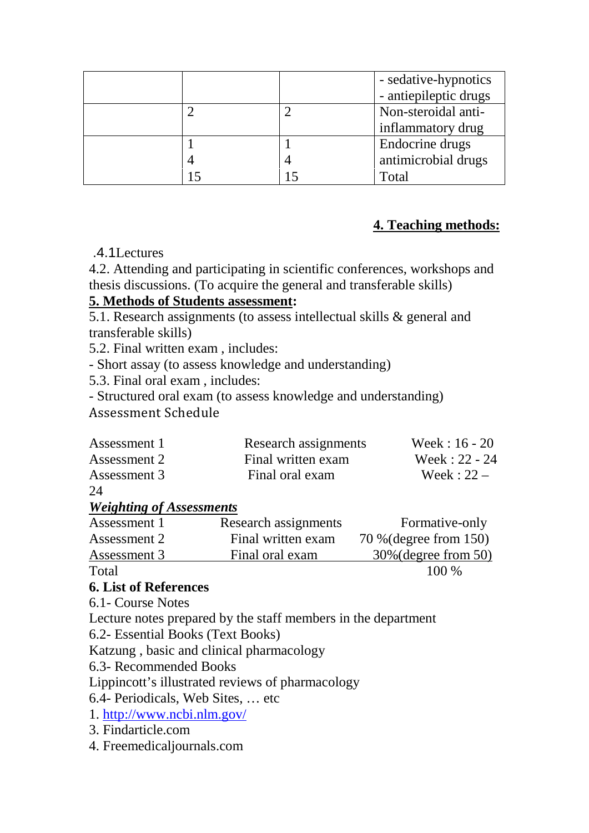|  | - sedative-hypnotics<br>- antiepileptic drugs |
|--|-----------------------------------------------|
|  | Non-steroidal anti-                           |
|  | inflammatory drug                             |
|  | Endocrine drugs                               |
|  | antimicrobial drugs                           |
|  | Fotal                                         |

## **4. Teaching methods:**

#### .4.1Lectures

4.2. Attending and participating in scientific conferences, workshops and thesis discussions. (To acquire the general and transferable skills)

#### *<sup>U</sup>***5. Methods of Students assessment***U***:**

5.1. Research assignments (to assess intellectual skills & general and transferable skills)

5.2. Final written exam , includes:

- Short assay (to assess knowledge and understanding)

5.3. Final oral exam , includes:

- Structured oral exam (to assess knowledge and understanding)

Assessment Schedule

| Assessment 1 | Research assignments | Week: $16 - 20$ |
|--------------|----------------------|-----------------|
| Assessment 2 | Final written exam   | Week: 22 - 24   |
| Assessment 3 | Final oral exam      | Week: $22 -$    |
|              |                      |                 |

24

#### *<sup>U</sup>Weighting of Assessments*

| Assessment 1 | Research assignments | Formative-only          |
|--------------|----------------------|-------------------------|
| Assessment 2 | Final written exam   | 70 % (degree from 150)  |
| Assessment 3 | Final oral exam      | $30\%$ (degree from 50) |
| Total        |                      | $100\%$                 |

# **6. List of References**

6.1- Course Notes

Lecture notes prepared by the staff members in the department

6.2- Essential Books (Text Books)

Katzung , basic and clinical pharmacology

6.3- Recommended Books

Lippincott's illustrated reviews of pharmacology

6.4- Periodicals, Web Sites, … etc

1. http://www.ncbi.nlm.gov/

3. Findarticle.com

4. Freemedicaljournals.com